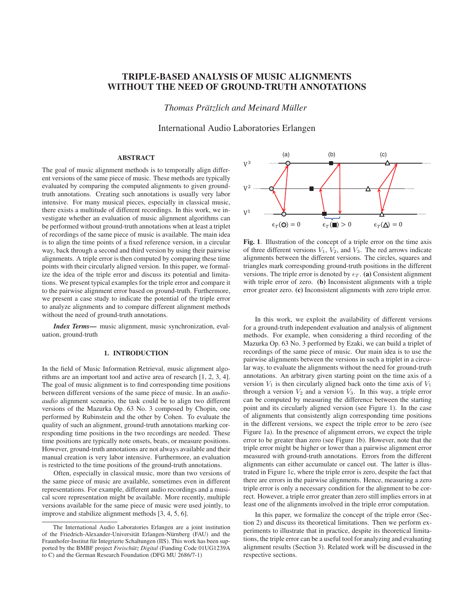# TRIPLE-BASED ANALYSIS OF MUSIC ALIGNMENTS WITHOUT THE NEED OF GROUND-TRUTH ANNOTATIONS

*Thomas Prätzlich and Meinard Müller* 

International Audio Laboratories Erlangen

# ABSTRACT

The goal of music alignment methods is to temporally align different versions of the same piece of music. These methods are typically evaluated by comparing the computed alignments to given groundtruth annotations. Creating such annotations is usually very labor intensive. For many musical pieces, especially in classical music, there exists a multitude of different recordings. In this work, we investigate whether an evaluation of music alignment algorithms can be performed without ground-truth annotations when at least a triplet of recordings of the same piece of music is available. The main idea is to align the time points of a fixed reference version, in a circular way, back through a second and third version by using their pairwise alignments. A triple error is then computed by comparing these time points with their circularly aligned version. In this paper, we formalize the idea of the triple error and discuss its potential and limitations. We present typical examples for the triple error and compare it to the pairwise alignment error based on ground-truth. Furthermore, we present a case study to indicate the potential of the triple error to analyze alignments and to compare different alignment methods without the need of ground-truth annotations.

*Index Terms*— music alignment, music synchronization, evaluation, ground-truth

# 1. INTRODUCTION

In the field of Music Information Retrieval, music alignment algorithms are an important tool and active area of research [1, 2, 3, 4]. The goal of music alignment is to find corresponding time positions between different versions of the same piece of music. In an *audioaudio* alignment scenario, the task could be to align two different versions of the Mazurka Op. 63 No. 3 composed by Chopin, one performed by Rubinstein and the other by Cohen. To evaluate the quality of such an alignment, ground-truth annotations marking corresponding time positions in the two recordings are needed. These time positions are typically note onsets, beats, or measure positions. However, ground-truth annotations are not always available and their manual creation is very labor intensive. Furthermore, an evaluation is restricted to the time positions of the ground-truth annotations.

Often, especially in classical music, more than two versions of the same piece of music are available, sometimes even in different representations. For example, different audio recordings and a musical score representation might be available. More recently, multiple versions available for the same piece of music were used jointly, to improve and stabilize alignment methods [3, 4, 5, 6].



Fig. 1. Illustration of the concept of a triple error on the time axis of three different versions  $V_1$ ,  $V_2$ , and  $V_3$ . The red arrows indicate alignments between the different versions. The circles, squares and triangles mark corresponding ground-truth positions in the different versions. The triple error is denoted by  $\epsilon_T$ . (a) Consistent alignment<br>with triple error of zero. (b) Inconsistent alignments with a triple with triple error of zero. (b) Inconsistent alignments with a triple error greater zero. (c) Inconsistent alignments with zero triple error.

In this work, we exploit the availability of different versions for a ground-truth independent evaluation and analysis of alignment methods. For example, when considering a third recording of the Mazurka Op. 63 No. 3 performed by Ezaki, we can build a triplet of recordings of the same piece of music. Our main idea is to use the pairwise alignments between the versions in such a triplet in a circular way, to evaluate the alignments without the need for ground-truth annotations. An arbitrary given starting point on the time axis of a version  $V_1$  is then circularly aligned back onto the time axis of  $V_1$ through a version  $V_2$  and a version  $V_3$ . In this way, a triple error can be computed by measuring the difference between the starting point and its circularly aligned version (see Figure 1). In the case of alignments that consistently align corresponding time positions in the different versions, we expect the triple error to be zero (see Figure 1a). In the presence of alignment errors, we expect the triple error to be greater than zero (see Figure 1b). However, note that the triple error might be higher or lower than a pairwise alignment error measured with ground-truth annotations. Errors from the different alignments can either accumulate or cancel out. The latter is illustrated in Figure 1c, where the triple error is zero, despite the fact that there are errors in the pairwise alignments. Hence, measuring a zero triple error is only a necessary condition for the alignment to be correct. However, a triple error greater than zero still implies errors in at least one of the alignments involved in the triple error computation.

In this paper, we formalize the concept of the triple error (Section 2) and discuss its theoretical limitations. Then we perform experiments to illustrate that in practice, despite its theoretical limitations, the triple error can be a useful tool for analyzing and evaluating alignment results (Section 3). Related work will be discussed in the respective sections.

The International Audio Laboratories Erlangen are a joint institution of the Friedrich-Alexander-Universität Erlangen-Nürnberg (FAU) and the Fraunhofer-Institut für Integrierte Schaltungen (IIS). This work has been supported by the BMBF project *Freischütz Digital* (Funding Code 01UG1239A to C) and the German Research Foundation (DFG MU 2686/7-1)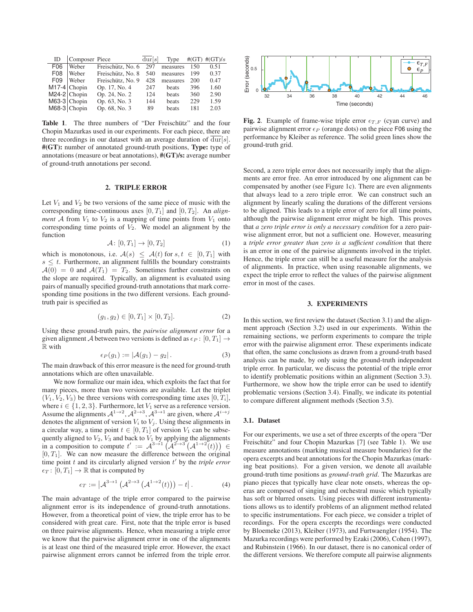| ID              | Composer Piece |                   | dur[s] | Type     |     | #(GT) #(GT)/ $s$ |
|-----------------|----------------|-------------------|--------|----------|-----|------------------|
| F <sub>06</sub> | Weber          | Freischütz, No. 6 | 297    | measures | 150 | 0.51             |
| F08             | Weber          | Freischütz, No. 8 | 540    | measures | 199 | 0.37             |
| F09             | Weber          | Freischütz, No. 9 | 428    | measures | 200 | 0.47             |
|                 | $M17-4$ Chopin | Op. 17, No. 4     | 247    | beats    | 396 | 1.60             |
|                 | $M24-2$ Chopin | Op. 24, No. 2     | 124    | beats    | 360 | 2.90             |
|                 | $M63-3$ Chopin | Op. 63, No. 3     | 144    | beats    | 229 | 1.59             |
|                 | $M68-3$ Chopin | Op. 68, No. 3     | 89     | beats    | 181 | 2.03             |

Table 1. The three numbers of "Der Freischütz" and the four Chopin Mazurkas used in our experiments. For each piece, there are three recordings in our dataset with an average duration of  $\overline{\text{dur}}[s]$ . #(GT): number of annotated ground-truth positions, Type: type of annotations (measure or beat annotations), #(GT)/s: average number of ground-truth annotations per second.

# 2. TRIPLE ERROR

Let  $V_1$  and  $V_2$  be two versions of the same piece of music with the corresponding time-continuous axes  $[0, T_1]$  and  $[0, T_2]$ . An *alignment*  $A$  from  $V_1$  to  $V_2$  is a mapping of time points from  $V_1$  onto corresponding time points of  $V_2$ . We model an alignment by the function

$$
\mathcal{A} \colon [0, T_1] \to [0, T_2] \tag{1}
$$

which is monotonous, i.e.  $\mathcal{A}(s) \leq \mathcal{A}(t)$  for  $s, t \in [0, T_1]$  with  $s \leq t$ . Furthermore, an alignment fulfills the boundary constraints  $s \leq t$ . Furthermore, an alignment fulfills the boundary constraints  $A(0) = 0$  and  $A(T_1) = T_2$ . Sometimes further constraints on the slope are required. Typically, an alignment is evaluated using pairs of manually specified ground-truth annotations that mark corresponding time positions in the two different versions. Each groundtruth pair is specified as

$$
(g_1, g_2) \in [0, T_1] \times [0, T_2].
$$
 (2)

Using these ground-truth pairs, the *pairwise alignment error* for a given alignment A between two versions is defined as  $\epsilon_P : [0, T_1] \to \mathbb{R}$  with R with

$$
\epsilon_P(q_1) := |\mathcal{A}(q_1) - q_2| \,. \tag{3}
$$

 $\epsilon_P(g_1) := |\mathcal{A}(g_1) - g_2|$ . (3)<br>The main drawback of this error measure is the need for ground-truth annotations which are often unavailable.

We now formalize our main idea, which exploits the fact that for many pieces, more than two versions are available. Let the triplet  $(V_1, V_2, V_3)$  be three versions with corresponding time axes  $[0, T_i]$ , where  $i \in \{1, 2, 3\}$ . Furthermore, let  $V_1$  serve as a reference version. Assume the alignments  $\mathcal{A}^{1\rightarrow 2}$ ,  $\mathcal{A}^{2\rightarrow 3}$ ,  $\mathcal{A}^{3\rightarrow 1}$  are given, where  $\mathcal{A}^{i\rightarrow j}$ denotes the alignment of version  $V_i$  to  $V_j$ . Using these alignments in a circular way, a time point  $t \in [0, T_1]$  of version  $V_1$  can be subsequently aligned to  $V_2$ ,  $V_3$  and back to  $V_1$  by applying the alignments in a composition to compute  $t' := \mathcal{A}^{3 \to 1} (\mathcal{A}^{2 \to 3} (\mathcal{A}^{1 \to 2}(t))) \in$  [0 T<sub>i</sub>] We can now measure the difference between the original  $[0, T<sub>1</sub>]$ . We can now measure the difference between the original time point t and its circularly aligned version t' by the *triple error*<br> $\epsilon_{\text{m}}$ :  $[0, T_1] \rightarrow \mathbb{R}$  that is computed by  $\epsilon_T : [0, T_1] \to \mathbb{R}$  that is computed by

$$
\epsilon_T := \left| \mathcal{A}^{3 \to 1} \left( \mathcal{A}^{2 \to 3} \left( \mathcal{A}^{1 \to 2}(t) \right) \right) - t \right|.
$$
 (4)

The main advantage of the triple error compared to the pairwise alignment error is its independence of ground-truth annotations. However, from a theoretical point of view, the triple error has to be considered with great care. First, note that the triple error is based on three pairwise alignments. Hence, when measuring a triple error we know that the pairwise alignment error in one of the alignments is at least one third of the measured triple error. However, the exact pairwise alignment errors cannot be inferred from the triple error.



**Fig. 2.** Example of frame-wise triple error  $\epsilon_{T,F}$  (cyan curve) and pairwise alignment error  $\epsilon_{B}$  (orange dots) on the piece E06 using the pairwise alignment error  $\epsilon_P$  (orange dots) on the piece F06 using the performance by Kleiber as reference. The solid green lines show the performance by Kleiber as reference. The solid green lines show the ground-truth grid.

Second, a zero triple error does not necessarily imply that the alignments are error free. An error introduced by one alignment can be compensated by another (see Figure 1c). There are even alignments that always lead to a zero triple error. We can construct such an alignment by linearly scaling the durations of the different versions to be aligned. This leads to a triple error of zero for all time points, although the pairwise alignment error might be high. This proves that *a zero triple error is only a necessary condition* for a zero pairwise alignment error, but not a sufficient one. However, measuring a *triple error greater than zero is a sufficient condition* that there is an error in one of the pairwise alignments involved in the triplet. Hence, the triple error can still be a useful measure for the analysis of alignments. In practice, when using reasonable alignments, we expect the triple error to reflect the values of the pairwise alignment error in most of the cases.

## 3. EXPERIMENTS

In this section, we first review the dataset (Section 3.1) and the alignment approach (Section 3.2) used in our experiments. Within the remaining sections, we perform experiments to compare the triple error with the pairwise alignment error. These experiments indicate that often, the same conclusions as drawn from a ground-truth based analysis can be made, by only using the ground-truth independent triple error. In particular, we discuss the potential of the triple error to identify problematic positions within an alignment (Section 3.3). Furthermore, we show how the triple error can be used to identify problematic versions (Section 3.4). Finally, we indicate its potential to compare different alignment methods (Section 3.5).

# 3.1. Dataset

For our experiments, we use a set of three excerpts of the opera "Der Freischütz" and four Chopin Mazurkas [7] (see Table 1). We use measure annotations (marking musical measure boundaries) for the opera excerpts and beat annotations for the Chopin Mazurkas (marking beat positions). For a given version, we denote all available ground-truth time positions as *ground-truth grid*. The Mazurkas are piano pieces that typically have clear note onsets, whereas the operas are composed of singing and orchestral music which typically has soft or blurred onsets. Using pieces with different instrumentations allows us to identify problems of an alignment method related to specific instrumentations. For each piece, we consider a triplet of recordings. For the opera excerpts the recordings were conducted by Bloemeke (2013), Kleiber (1973), and Furtwaengler (1954). The Mazurka recordings were performed by Ezaki (2006), Cohen (1997), and Rubinstein (1966). In our dataset, there is no canonical order of the different versions. We therefore compute all pairwise alignments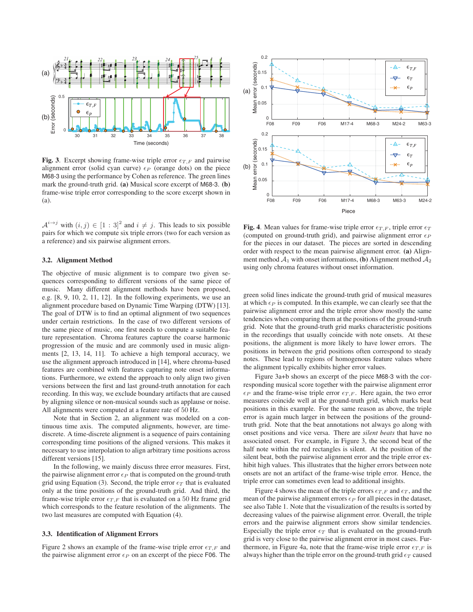

**Fig. 3.** Excerpt showing frame-wise triple error  $\epsilon_{T,F}$  and pairwise alignment error (solid cyan curve)  $\epsilon_{T}$  (orange dots) on the piece alignment error (solid cyan curve)  $\epsilon_P$  (orange dots) on the piece<br>M68-3 using the performance by Cohen as reference. The green lines M68-3 using the performance by Cohen as reference. The green lines mark the ground-truth grid. (a) Musical score excerpt of M68-3. (b) frame-wise triple error corresponding to the score excerpt shown in (a).

 $A^{i\rightarrow j}$  with  $(i, j) \in [1:3]^2$  and  $i \neq j$ . This leads to six possible pairs for which we compute six triple errors (two for each version as a reference) and six pairwise alignment errors.

## 3.2. Alignment Method

The objective of music alignment is to compare two given sequences corresponding to different versions of the same piece of music. Many different alignment methods have been proposed, e.g. [8, 9, 10, 2, 11, 12]. In the following experiments, we use an alignment procedure based on Dynamic Time Warping (DTW) [13]. The goal of DTW is to find an optimal alignment of two sequences under certain restrictions. In the case of two different versions of the same piece of music, one first needs to compute a suitable feature representation. Chroma features capture the coarse harmonic progression of the music and are commonly used in music alignments [2, 13, 14, 11]. To achieve a high temporal accuracy, we use the alignment approach introduced in [14], where chroma-based features are combined with features capturing note onset informations. Furthermore, we extend the approach to only align two given versions between the first and last ground-truth annotation for each recording. In this way, we exclude boundary artifacts that are caused by aligning silence or non-musical sounds such as applause or noise. All alignments were computed at a feature rate of 50 Hz.

Note that in Section 2, an alignment was modeled on a continuous time axis. The computed alignments, however, are timediscrete. A time-discrete alignment is a sequence of pairs containing corresponding time positions of the aligned versions. This makes it necessary to use interpolation to align arbitrary time positions across different versions [15].

In the following, we mainly discuss three error measures. First, the pairwise alignment error  $\epsilon_P$  that is computed on the ground-truth<br>orid using Equation (3). Second, the triple error  $\epsilon_R$  that is evaluated grid using Equation (3). Second, the triple error  $\epsilon_T$  that is evaluated<br>only at the time positions of the ground-truth grid. And third, the only at the time positions of the ground-truth grid. And third, the frame-wise triple error  $\epsilon_{T,F}$  that is evaluated on a 50 Hz frame grid<br>which corresponds to the feature resolution of the alignments. The which corresponds to the feature resolution of the alignments. The two last measures are computed with Equation (4).

## 3.3. Identification of Alignment Errors

Figure 2 shows an example of the frame-wise triple error  $\epsilon_{T,F}$  and the pairwise alignment error  $\epsilon_{\text{D}}$  on an excernt of the piece **F06**. The the pairwise alignment error  $\epsilon_P$  on an excerpt of the piece F06. The



**Fig. 4.** Mean values for frame-wise triple error  $\epsilon_{T,F}$ , triple error  $\epsilon_T$  (computed on ground-truth grid), and pairwise alignment error  $\epsilon_T$ (computed on ground-truth grid), and pairwise alignment error  $\epsilon_F$  for the pieces in our dataset. The pieces are sorted in descending for the pieces in our dataset. The pieces are sorted in descending order with respect to the mean pairwise alignment error. (a) Alignment method  $A_1$  with onset informations, (b) Alignment method  $A_2$ using only chroma features without onset information.

green solid lines indicate the ground-truth grid of musical measures at which  $\epsilon_P$  is computed. In this example, we can clearly see that the pairwise alignment error and the triple error show mostly the same pairwise alignment error and the triple error show mostly the same tendencies when comparing them at the positions of the ground-truth grid. Note that the ground-truth grid marks characteristic positions in the recordings that usually coincide with note onsets. At these positions, the alignment is more likely to have lower errors. The positions in between the grid positions often correspond to steady notes. These lead to regions of homogenous feature values where the alignment typically exhibits higher error values.

Figure 3a+b shows an excerpt of the piece M68-3 with the corresponding musical score together with the pairwise alignment error  $m<sub>1</sub>$  and the ground-truth grid, which marks beat measures coincide well at the ground-truth grid, which marks beat  $P$  and the frame-wise triple error  $\epsilon_{T,F}$ . Here again, the two error peasures coincide well at the ground-truth grid, which marks beat positions in this example. For the same reason as above, the triple error is again much larger in between the positions of the groundtruth grid. Note that the beat annotations not always go along with onset positions and vice versa. There are *silent beats* that have no associated onset. For example, in Figure 3, the second beat of the half note within the red rectangles is silent. At the position of the silent beat, both the pairwise alignment error and the triple error exhibit high values. This illustrates that the higher errors between note onsets are not an artifact of the frame-wise triple error. Hence, the triple error can sometimes even lead to additional insights.

Figure 4 shows the mean of the triple errors  $\epsilon_{T,F}$  and  $\epsilon_T$ , and the nairwise alignment errors  $\epsilon_P$  for all pieces in the dataset mean of the pairwise alignment errors  $\epsilon_P$  for all pieces in the dataset,<br>see also Table 1. Note that the visualization of the results is sorted by see also Table 1. Note that the visualization of the results is sorted by decreasing values of the pairwise alignment error. Overall, the triple errors and the pairwise alignment errors show similar tendencies. Especially the triple error  $\epsilon_T$  that is evaluated on the ground-truth orid is very close to the pairwise alignment error in most cases. Furgrid is very close to the pairwise alignment error in most cases. Furthermore, in Figure 4a, note that the frame-wise triple error  $\epsilon_{T,F}$  is<br>always higher than the triple error on the ground-truth grid  $\epsilon_T$  caused always higher than the triple error on the ground-truth grid  $\epsilon_T$  caused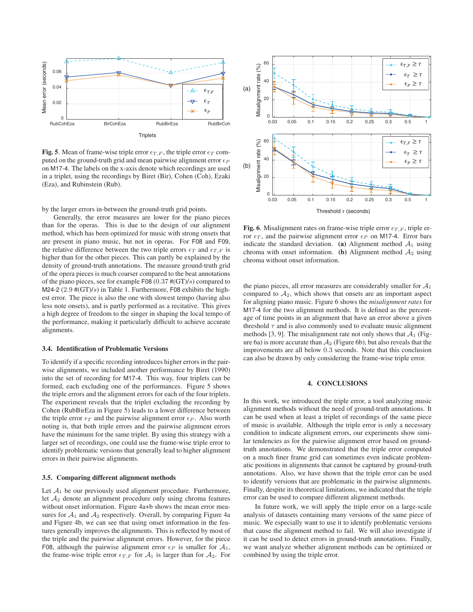

**Fig. 5.** Mean of frame-wise triple error  $\epsilon_T$ ,  $F$ , the triple error  $\epsilon_T$  com-<br>puted on the ground-truth grid and mean pairwise alignment error  $\epsilon_T$ . puted on the ground-truth grid and mean pairwise alignment error  $\epsilon_F$ <br>on M17-4. The labels on the x-axis denote which recordings are used on M17-4. The labels on the x-axis denote which recordings are used in a triplet, using the recordings by Biret (Bir), Cohen (Coh), Ezaki (Eza), and Rubinstein (Rub).

by the larger errors in-between the ground-truth grid points.

Generally, the error measures are lower for the piano pieces than for the operas. This is due to the design of our alignment method, which has been optimized for music with strong onsets that are present in piano music, but not in operas. For F08 and F09, the relative difference between the two triple errors  $\epsilon_T$  and  $\epsilon_{T,F}$  is<br>higher than for the other pieces. This can partly be explained by the higher than for the other pieces. This can partly be explained by the density of ground-truth annotations. The measure ground-truth grid of the opera pieces is much coarser compared to the beat annotations of the piano pieces, see for example F08 (0.<sup>37</sup> #(GT)/s) compared to M24-2  $(2.9 \# (GT)/s)$  in Table 1. Furthermore, F08 exhibits the highest error. The piece is also the one with slowest tempo (having also less note onsets), and is partly performed as a recitative. This gives a high degree of freedom to the singer in shaping the local tempo of the performance, making it particularly difficult to achieve accurate alignments.

#### 3.4. Identification of Problematic Versions

To identify if a specific recording introduces higher errors in the pairwise alignments, we included another performance by Biret (1990) into the set of recording for M17-4. This way, four triplets can be formed, each excluding one of the performances. Figure 5 shows the triple errors and the alignment errors for each of the four triplets. The experiment reveals that the triplet excluding the recording by Cohen (RubBirEza in Figure 5) leads to a lower difference between the triple error  $\epsilon_T$  and the pairwise alignment error  $\epsilon_P$ . Also worth noting is that both triple errors and the pairwise alignment errors noting is, that both triple errors and the pairwise alignment errors have the minimum for the same triplet. By using this strategy with a larger set of recordings, one could use the frame-wise triple error to identify problematic versions that generally lead to higher alignment errors in their pairwise alignments.

## 3.5. Comparing different alignment methods

Let  $A_1$  be our previously used alignment procedure. Furthermore, let  $A_2$  denote an alignment procedure only using chroma features without onset information. Figure 4a+b shows the mean error measures for  $A_1$  and  $A_2$  respectively. Overall, by comparing Figure 4a and Figure 4b, we can see that using onset information in the features generally improves the alignments. This is reflected by most of the triple and the pairwise alignment errors. However, for the piece F08, although the pairwise alignment error  $\epsilon_P$  is smaller for  $A_1$ , the frame-wise triple error  $\epsilon_R$  p for  $A_1$ , is larger than for  $A_0$ . For the frame-wise triple error  $\epsilon_{T,F}$  for  $\mathcal{A}_1$  is larger than for  $\mathcal{A}_2$ . For



**Fig. 6.** Misalignment rates on frame-wise triple error  $\epsilon_T$ ,  $F$ , triple error  $\epsilon_T$  and the pairwise alignment error  $\epsilon_D$  on M17-4. Frror bars ror  $\epsilon_T$ , and the pairwise alignment error  $\epsilon_P$  on M17-4. Error bars<br>indicate the standard deviation (a) Alignment method 4, using indicate the standard deviation. (a) Alignment method  $A_1$  using chroma with onset information. (b) Alignment method  $A_2$  using chroma without onset information.

the piano pieces, all error measures are considerably smaller for  $A_1$ compared to  $A_2$ , which shows that onsets are an important aspect for aligning piano music. Figure 6 shows the *misalignment rates* for M17-4 for the two alignment methods. It is defined as the percentage of time points in an alignment that have an error above a given threshold  $\tau$  and is also commonly used to evaluate music alignment methods [3, 9]. The misalignment rate not only shows that  $A_1$  (Figure 6a) is more accurate than  $A_2$  (Figure 6b), but also reveals that the improvements are all below <sup>0</sup>.<sup>3</sup> seconds. Note that this conclusion can also be drawn by only considering the frame-wise triple error.

# 4. CONCLUSIONS

In this work, we introduced the triple error, a tool analyzing music alignment methods without the need of ground-truth annotations. It can be used when at least a triplet of recordings of the same piece of music is available. Although the triple error is only a necessary condition to indicate alignment errors, our experiments show similar tendencies as for the pairwise alignment error based on groundtruth annotations. We demonstrated that the triple error computed on a much finer frame grid can sometimes even indicate problematic positions in alignments that cannot be captured by ground-truth annotations. Also, we have shown that the triple error can be used to identify versions that are problematic in the pairwise alignments. Finally, despite its theoretical limitations, we indicated that the triple error can be used to compare different alignment methods.

In future work, we will apply the triple error on a large-scale analysis of datasets containing many versions of the same piece of music. We especially want to use it to identify problematic versions that cause the alignment method to fail. We will also investigate if it can be used to detect errors in ground-truth annotations. Finally, we want analyze whether alignment methods can be optimized or combined by using the triple error.